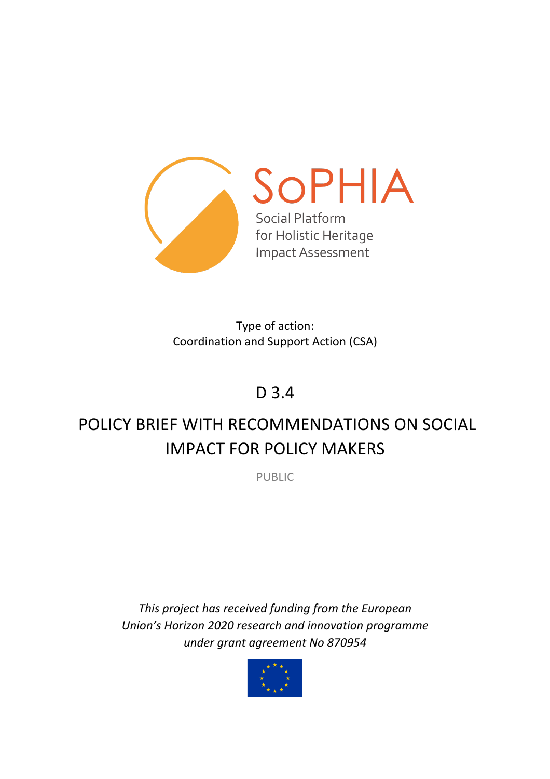

Type of action: Coordination and Support Action (CSA)

# D 3.4

# POLICY BRIEF WITH RECOMMENDATIONS ON SOCIAL IMPACT FOR POLICY MAKERS

PUBLIC

*This project has received funding from the European Union's Horizon 2020 research and innovation programme under grant agreement No 870954*

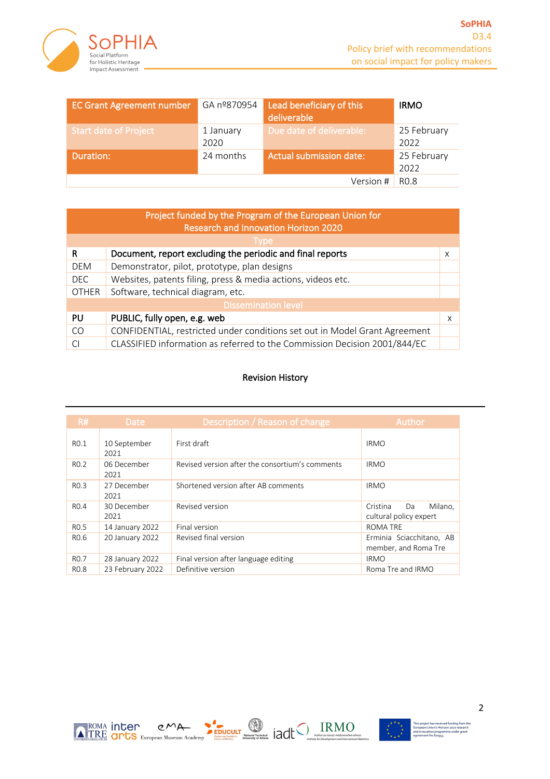

| <b>EC Grant Agreement number</b> | GA nº870954       | Lead beneficiary of this<br>deliverable | <b>IRMO</b>         |
|----------------------------------|-------------------|-----------------------------------------|---------------------|
| <b>Start date of Project</b>     | 1 January<br>2020 | Due date of deliverable:                | 25 February<br>2022 |
| Duration:                        | 24 months         | <b>Actual submission date:</b>          | 25 February<br>2022 |
|                                  |                   | Version #                               | R <sub>0.8</sub>    |

| Project funded by the Program of the European Union for |                                                                            |   |  |  |  |  |
|---------------------------------------------------------|----------------------------------------------------------------------------|---|--|--|--|--|
|                                                         | <b>Research and Innovation Horizon 2020</b>                                |   |  |  |  |  |
| Type                                                    |                                                                            |   |  |  |  |  |
| R                                                       | Document, report excluding the periodic and final reports                  | X |  |  |  |  |
| <b>DEM</b>                                              | Demonstrator, pilot, prototype, plan designs                               |   |  |  |  |  |
| <b>DEC</b>                                              | Websites, patents filing, press & media actions, videos etc.               |   |  |  |  |  |
| <b>OTHER</b>                                            | Software, technical diagram, etc.                                          |   |  |  |  |  |
| <b>Dissemination level</b>                              |                                                                            |   |  |  |  |  |
| PU                                                      | PUBLIC, fully open, e.g. web                                               | X |  |  |  |  |
| CO.                                                     | CONFIDENTIAL, restricted under conditions set out in Model Grant Agreement |   |  |  |  |  |
|                                                         | CLASSIFIED information as referred to the Commission Decision 2001/844/EC  |   |  |  |  |  |

#### Revision History

| R#               | <b>Date</b>          | Description / Reason of change                  | Author                                              |
|------------------|----------------------|-------------------------------------------------|-----------------------------------------------------|
| R <sub>0.1</sub> | 10 September<br>2021 | First draft                                     | <b>IRMO</b>                                         |
| R <sub>0.2</sub> | 06 December<br>2021  | Revised version after the consortium's comments | <b>IRMO</b>                                         |
| R <sub>0.3</sub> | 27 December<br>2021  | Shortened version after AB comments             | <b>IRMO</b>                                         |
| R <sub>0.4</sub> | 30 December<br>2021  | Revised version                                 | Milano,<br>Cristina<br>Da<br>cultural policy expert |
| R <sub>0.5</sub> | 14 January 2022      | Final version                                   | <b>ROMA TRE</b>                                     |
| R <sub>0.6</sub> | 20 January 2022      | Revised final version                           | Erminia Sciacchitano, AB<br>member, and Roma Tre    |
| R <sub>0.7</sub> | 28 January 2022      | Final version after language editing            | <b>IRMO</b>                                         |
| R <sub>0.8</sub> | 23 February 2022     | Definitive version                              | Roma Tre and IRMO                                   |

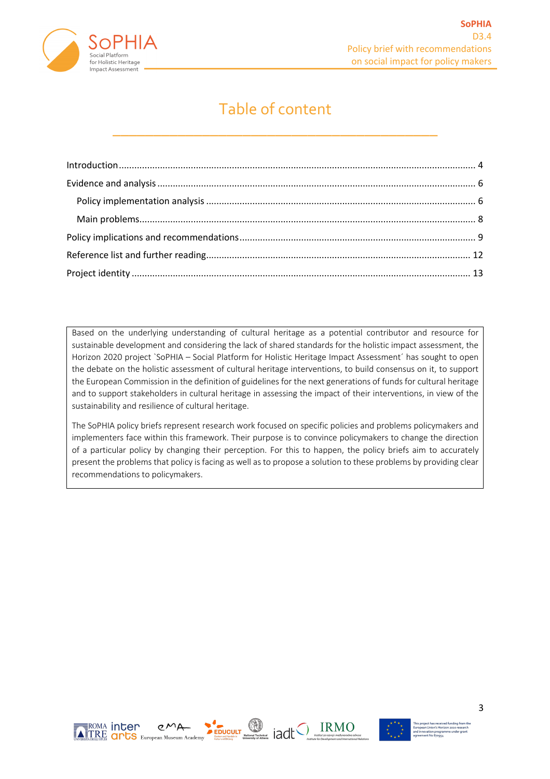

### Table of content

\_\_\_\_\_\_\_\_\_\_\_\_\_\_\_\_\_\_\_\_\_\_\_\_\_\_\_\_\_\_\_\_\_\_\_\_\_\_\_\_

Based on the underlying understanding of cultural heritage as a potential contributor and resource for sustainable development and considering the lack of shared standards for the holistic impact assessment, the Horizon 2020 project `SoPHIA – Social Platform for Holistic Heritage Impact Assessment´ has sought to open the debate on the holistic assessment of cultural heritage interventions, to build consensus on it, to support the European Commission in the definition of guidelines for the next generations of funds for cultural heritage and to support stakeholders in cultural heritage in assessing the impact of their interventions, in view of the sustainability and resilience of cultural heritage.

The SoPHIA policy briefs represent research work focused on specific policies and problems policymakers and implementers face within this framework. Their purpose is to convince policymakers to change the direction of a particular policy by changing their perception. For this to happen, the policy briefs aim to accurately present the problems that policy is facing as well as to propose a solution to these problems by providing clear recommendations to policymakers.



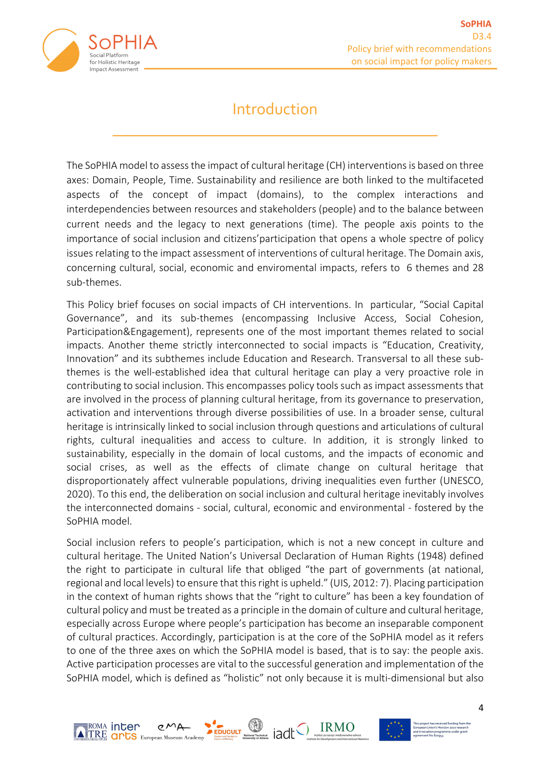

### Introduction

\_\_\_\_\_\_\_\_\_\_\_\_\_\_\_\_\_\_\_\_\_\_\_\_\_\_\_\_\_\_\_\_\_\_\_\_\_\_\_\_

The SoPHIA model to assess the impact of cultural heritage (CH) interventions is based on three axes: Domain, People, Time. Sustainability and resilience are both linked to the multifaceted aspects of the concept of impact (domains), to the complex interactions and interdependencies between resources and stakeholders (people) and to the balance between current needs and the legacy to next generations (time). The people axis points to the importance of social inclusion and citizens'participation that opens a whole spectre of policy issues relating to the impact assessment of interventions of cultural heritage. The Domain axis, concerning cultural, social, economic and enviromental impacts, refers to 6 themes and 28 sub-themes.

This Policy brief focuses on social impacts of CH interventions. In particular, "Social Capital Governance", and its sub-themes (encompassing Inclusive Access, Social Cohesion, Participation&Engagement), represents one of the most important themes related to social impacts. Another theme strictly interconnected to social impacts is "Education, Creativity, Innovation" and its subthemes include Education and Research. Transversal to all these subthemes is the well-established idea that cultural heritage can play a very proactive role in contributing to social inclusion. This encompasses policy tools such as impact assessments that are involved in the process of planning cultural heritage, from its governance to preservation, activation and interventions through diverse possibilities of use. In a broader sense, cultural heritage is intrinsically linked to social inclusion through questions and articulations of cultural rights, cultural inequalities and access to culture. In addition, it is strongly linked to sustainability, especially in the domain of local customs, and the impacts of economic and social crises, as well as the effects of climate change on cultural heritage that disproportionately affect vulnerable populations, driving inequalities even further (UNESCO, 2020). To this end, the deliberation on social inclusion and cultural heritage inevitably involves the interconnected domains - social, cultural, economic and environmental - fostered by the SoPHIA model.

Social inclusion refers to people's participation, which is not a new concept in culture and cultural heritage. The United Nation's Universal Declaration of Human Rights (1948) defined the right to participate in cultural life that obliged "the part of governments (at national, regional and local levels) to ensure that this right is upheld." (UIS, 2012: 7). Placing participation in the context of human rights shows that the "right to culture" has been a key foundation of cultural policy and must be treated as a principle in the domain of culture and cultural heritage, especially across Europe where people's participation has become an inseparable component of cultural practices. Accordingly, participation is at the core of the SoPHIA model as it refers to one of the three axes on which the SoPHIA model is based, that is to say: the people axis. Active participation processes are vital to the successful generation and implementation of the SoPHIA model, which is defined as "holistic" not only because it is multi-dimensional but also



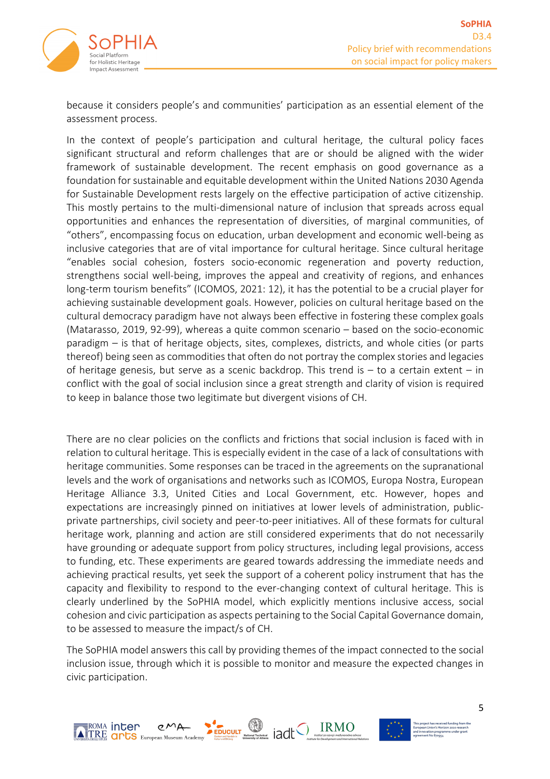

because it considers people's and communities' participation as an essential element of the assessment process.

In the context of people's participation and cultural heritage, the cultural policy faces significant structural and reform challenges that are or should be aligned with the wider framework of sustainable development. The recent emphasis on good governance as a foundation for sustainable and equitable development within the United Nations 2030 Agenda for Sustainable Development rests largely on the effective participation of active citizenship. This mostly pertains to the multi-dimensional nature of inclusion that spreads across equal opportunities and enhances the representation of diversities, of marginal communities, of "others", encompassing focus on education, urban development and economic well-being as inclusive categories that are of vital importance for cultural heritage. Since cultural heritage "enables social cohesion, fosters socio-economic regeneration and poverty reduction, strengthens social well-being, improves the appeal and creativity of regions, and enhances long-term tourism benefits" (ICOMOS, 2021: 12), it has the potential to be a crucial player for achieving sustainable development goals. However, policies on cultural heritage based on the cultural democracy paradigm have not always been effective in fostering these complex goals (Matarasso, 2019, 92-99), whereas a quite common scenario – based on the socio-economic paradigm – is that of heritage objects, sites, complexes, districts, and whole cities (or parts thereof) being seen as commodities that often do not portray the complex stories and legacies of heritage genesis, but serve as a scenic backdrop. This trend is  $-$  to a certain extent  $-$  in conflict with the goal of social inclusion since a great strength and clarity of vision is required to keep in balance those two legitimate but divergent visions of CH.

There are no clear policies on the conflicts and frictions that social inclusion is faced with in relation to cultural heritage. This is especially evident in the case of a lack of consultations with heritage communities. Some responses can be traced in the agreements on the supranational levels and the work of organisations and networks such as ICOMOS, Europa Nostra, European Heritage Alliance 3.3, United Cities and Local Government, etc. However, hopes and expectations are increasingly pinned on initiatives at lower levels of administration, publicprivate partnerships, civil society and peer-to-peer initiatives. All of these formats for cultural heritage work, planning and action are still considered experiments that do not necessarily have grounding or adequate support from policy structures, including legal provisions, access to funding, etc. These experiments are geared towards addressing the immediate needs and achieving practical results, yet seek the support of a coherent policy instrument that has the capacity and flexibility to respond to the ever-changing context of cultural heritage. This is clearly underlined by the SoPHIA model, which explicitly mentions inclusive access, social cohesion and civic participation as aspects pertaining to the Social Capital Governance domain, to be assessed to measure the impact/s of CH.

The SoPHIA model answers this call by providing themes of the impact connected to the social inclusion issue, through which it is possible to monitor and measure the expected changes in civic participation.

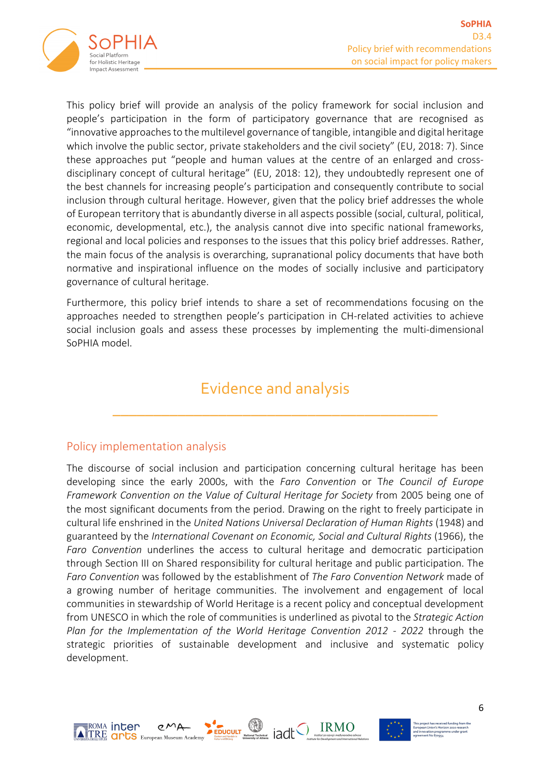

This policy brief will provide an analysis of the policy framework for social inclusion and people's participation in the form of participatory governance that are recognised as "innovative approaches to the multilevel governance of tangible, intangible and digital heritage which involve the public sector, private stakeholders and the civil society" (EU, 2018: 7). Since these approaches put "people and human values at the centre of an enlarged and crossdisciplinary concept of cultural heritage" (EU, 2018: 12), they undoubtedly represent one of the best channels for increasing people's participation and consequently contribute to social inclusion through cultural heritage. However, given that the policy brief addresses the whole of European territory that is abundantly diverse in all aspects possible (social, cultural, political, economic, developmental, etc.), the analysis cannot dive into specific national frameworks, regional and local policies and responses to the issues that this policy brief addresses. Rather, the main focus of the analysis is overarching, supranational policy documents that have both normative and inspirational influence on the modes of socially inclusive and participatory governance of cultural heritage.

Furthermore, this policy brief intends to share a set of recommendations focusing on the approaches needed to strengthen people's participation in CH-related activities to achieve social inclusion goals and assess these processes by implementing the multi-dimensional SoPHIA model.

## Evidence and analysis

\_\_\_\_\_\_\_\_\_\_\_\_\_\_\_\_\_\_\_\_\_\_\_\_\_\_\_\_\_\_\_\_\_\_\_\_\_\_\_\_

#### Policy implementation analysis

The discourse of social inclusion and participation concerning cultural heritage has been developing since the early 2000s, with the *Faro Convention* or T*he Council of Europe Framework Convention on the Value of Cultural Heritage for Society* from 2005 being one of the most significant documents from the period. Drawing on the right to freely participate in cultural life enshrined in the *United Nations Universal Declaration of Human Rights* (1948) and guaranteed by the *International Covenant on Economic, Social and Cultural Rights* (1966), the *Faro Convention* underlines the access to cultural heritage and democratic participation through Section III on Shared responsibility for cultural heritage and public participation. The *Faro Convention* was followed by the establishment of *The Faro Convention Network* made of a growing number of heritage communities. The involvement and engagement of local communities in stewardship of World Heritage is a recent policy and conceptual development from UNESCO in which the role of communities is underlined as pivotal to the *Strategic Action Plan for the Implementation of the World Heritage Convention 2012 - 2022* through the strategic priorities of sustainable development and inclusive and systematic policy development.



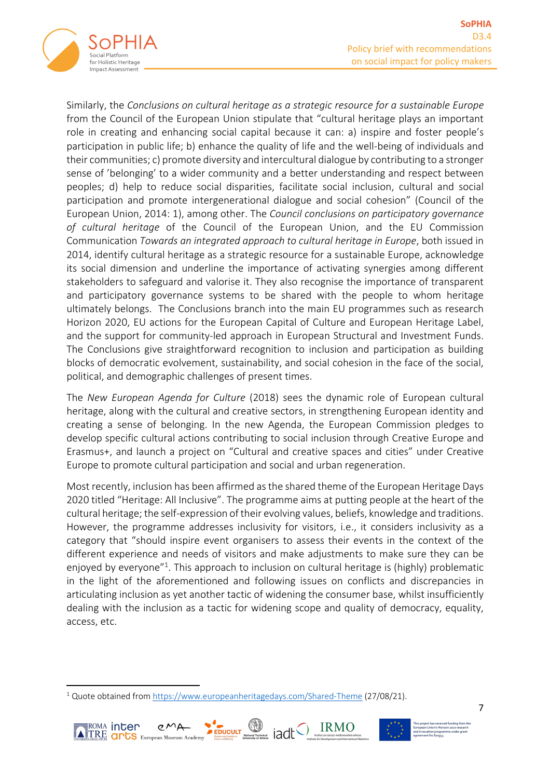

Similarly, the *Conclusions on cultural heritage as a strategic resource for a sustainable Europe* from the Council of the European Union stipulate that "cultural heritage plays an important role in creating and enhancing social capital because it can: a) inspire and foster people's participation in public life; b) enhance the quality of life and the well-being of individuals and their communities; c) promote diversity and intercultural dialogue by contributing to a stronger sense of 'belonging' to a wider community and a better understanding and respect between peoples; d) help to reduce social disparities, facilitate social inclusion, cultural and social participation and promote intergenerational dialogue and social cohesion" (Council of the European Union, 2014: 1), among other. The *Council conclusions on participatory governance of cultural heritage* of the Council of the European Union, and the EU Commission Communication *Towards an integrated approach to cultural heritage in Europe*, both issued in 2014, identify cultural heritage as a strategic resource for a sustainable Europe, acknowledge its social dimension and underline the importance of activating synergies among different stakeholders to safeguard and valorise it. They also recognise the importance of transparent and participatory governance systems to be shared with the people to whom heritage ultimately belongs. The Conclusions branch into the main EU programmes such as research Horizon 2020, EU actions for the European Capital of Culture and European Heritage Label, and the support for community-led approach in European Structural and Investment Funds. The Conclusions give straightforward recognition to inclusion and participation as building blocks of democratic evolvement, sustainability, and social cohesion in the face of the social, political, and demographic challenges of present times.

The *New European Agenda for Culture* (2018) sees the dynamic role of European cultural heritage, along with the cultural and creative sectors, in strengthening European identity and creating a sense of belonging. In the new Agenda, the European Commission pledges to develop specific cultural actions contributing to social inclusion through Creative Europe and Erasmus+, and launch a project on "Cultural and creative spaces and cities" under Creative Europe to promote cultural participation and social and urban regeneration.

Most recently, inclusion has been affirmed as the shared theme of the European Heritage Days 2020 titled "Heritage: All Inclusive". The programme aims at putting people at the heart of the cultural heritage; the self-expression of their evolving values, beliefs, knowledge and traditions. However, the programme addresses inclusivity for visitors, i.e., it considers inclusivity as a category that "should inspire event organisers to assess their events in the context of the different experience and needs of visitors and make adjustments to make sure they can be enjoyed by everyone"<sup>1</sup>. This approach to inclusion on cultural heritage is (highly) problematic in the light of the aforementioned and following issues on conflicts and discrepancies in articulating inclusion as yet another tactic of widening the consumer base, whilst insufficiently dealing with the inclusion as a tactic for widening scope and quality of democracy, equality, access, etc.

≣<sup>ROMA</sup> inter





<sup>1</sup> Quote obtained from https://www.europeanheritagedays.com/Shared-Theme (27/08/21).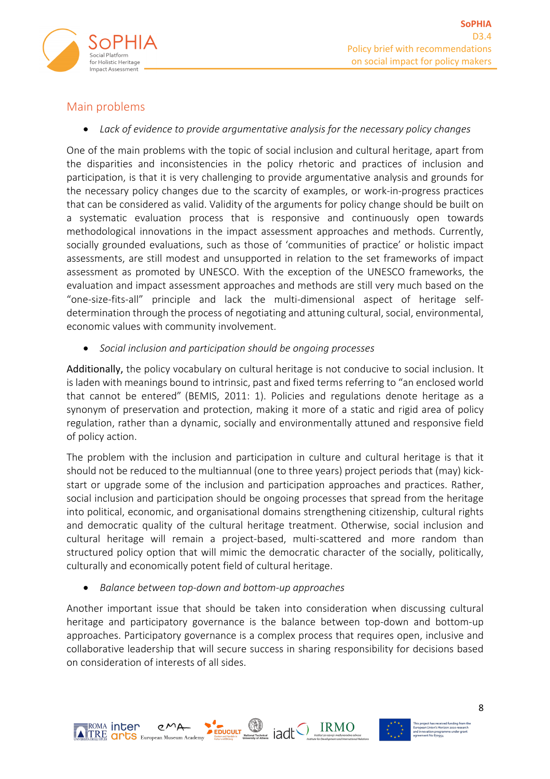

### Main problems

• *Lack of evidence to provide argumentative analysis for the necessary policy changes*

One of the main problems with the topic of social inclusion and cultural heritage, apart from the disparities and inconsistencies in the policy rhetoric and practices of inclusion and participation, is that it is very challenging to provide argumentative analysis and grounds for the necessary policy changes due to the scarcity of examples, or work-in-progress practices that can be considered as valid. Validity of the arguments for policy change should be built on a systematic evaluation process that is responsive and continuously open towards methodological innovations in the impact assessment approaches and methods. Currently, socially grounded evaluations, such as those of 'communities of practice' or holistic impact assessments, are still modest and unsupported in relation to the set frameworks of impact assessment as promoted by UNESCO. With the exception of the UNESCO frameworks, the evaluation and impact assessment approaches and methods are still very much based on the "one-size-fits-all" principle and lack the multi-dimensional aspect of heritage selfdetermination through the process of negotiating and attuning cultural, social, environmental, economic values with community involvement.

• *Social inclusion and participation should be ongoing processes*

Additionally, the policy vocabulary on cultural heritage is not conducive to social inclusion. It is laden with meanings bound to intrinsic, past and fixed terms referring to "an enclosed world that cannot be entered" (BEMIS, 2011: 1). Policies and regulations denote heritage as a synonym of preservation and protection, making it more of a static and rigid area of policy regulation, rather than a dynamic, socially and environmentally attuned and responsive field of policy action.

The problem with the inclusion and participation in culture and cultural heritage is that it should not be reduced to the multiannual (one to three years) project periods that (may) kickstart or upgrade some of the inclusion and participation approaches and practices. Rather, social inclusion and participation should be ongoing processes that spread from the heritage into political, economic, and organisational domains strengthening citizenship, cultural rights and democratic quality of the cultural heritage treatment. Otherwise, social inclusion and cultural heritage will remain a project-based, multi-scattered and more random than structured policy option that will mimic the democratic character of the socially, politically, culturally and economically potent field of cultural heritage.

• *Balance between top-down and bottom-up approaches*

Another important issue that should be taken into consideration when discussing cultural heritage and participatory governance is the balance between top-down and bottom-up approaches. Participatory governance is a complex process that requires open, inclusive and collaborative leadership that will secure success in sharing responsibility for decisions based on consideration of interests of all sides.



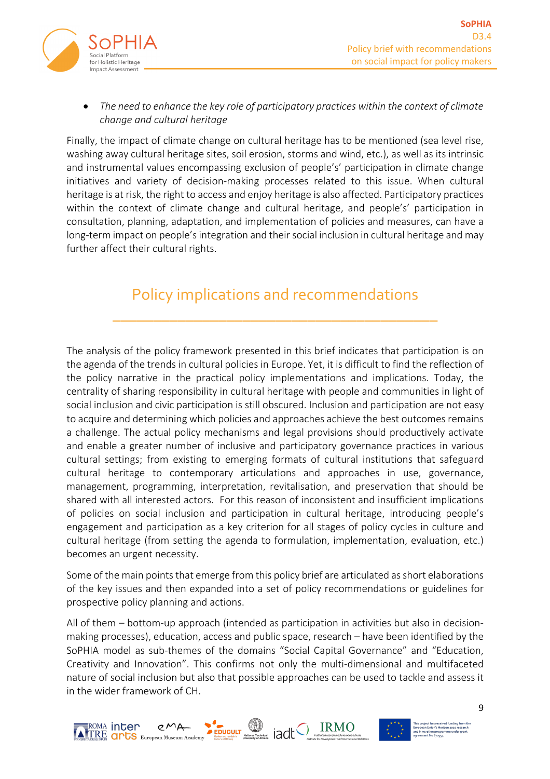

#### • *The need to enhance the key role of participatory practices within the context of climate change and cultural heritage*

Finally, the impact of climate change on cultural heritage has to be mentioned (sea level rise, washing away cultural heritage sites, soil erosion, storms and wind, etc.), as well as its intrinsic and instrumental values encompassing exclusion of people's' participation in climate change initiatives and variety of decision-making processes related to this issue. When cultural heritage is at risk, the right to access and enjoy heritage is also affected. Participatory practices within the context of climate change and cultural heritage, and people's' participation in consultation, planning, adaptation, and implementation of policies and measures, can have a long-term impact on people's integration and their social inclusion in cultural heritage and may further affect their cultural rights.

### Policy implications and recommendations

\_\_\_\_\_\_\_\_\_\_\_\_\_\_\_\_\_\_\_\_\_\_\_\_\_\_\_\_\_\_\_\_\_\_\_\_\_\_\_\_

The analysis of the policy framework presented in this brief indicates that participation is on the agenda of the trends in cultural policies in Europe. Yet, it is difficult to find the reflection of the policy narrative in the practical policy implementations and implications. Today, the centrality of sharing responsibility in cultural heritage with people and communities in light of social inclusion and civic participation is still obscured. Inclusion and participation are not easy to acquire and determining which policies and approaches achieve the best outcomes remains a challenge. The actual policy mechanisms and legal provisions should productively activate and enable a greater number of inclusive and participatory governance practices in various cultural settings; from existing to emerging formats of cultural institutions that safeguard cultural heritage to contemporary articulations and approaches in use, governance, management, programming, interpretation, revitalisation, and preservation that should be shared with all interested actors. For this reason of inconsistent and insufficient implications of policies on social inclusion and participation in cultural heritage, introducing people's engagement and participation as a key criterion for all stages of policy cycles in culture and cultural heritage (from setting the agenda to formulation, implementation, evaluation, etc.) becomes an urgent necessity.

Some of the main points that emerge from this policy brief are articulated as short elaborations of the key issues and then expanded into a set of policy recommendations or guidelines for prospective policy planning and actions.

All of them – bottom-up approach (intended as participation in activities but also in decisionmaking processes), education, access and public space, research – have been identified by the SoPHIA model as sub-themes of the domains "Social Capital Governance" and "Education, Creativity and Innovation". This confirms not only the multi-dimensional and multifaceted nature of social inclusion but also that possible approaches can be used to tackle and assess it in the wider framework of CH.





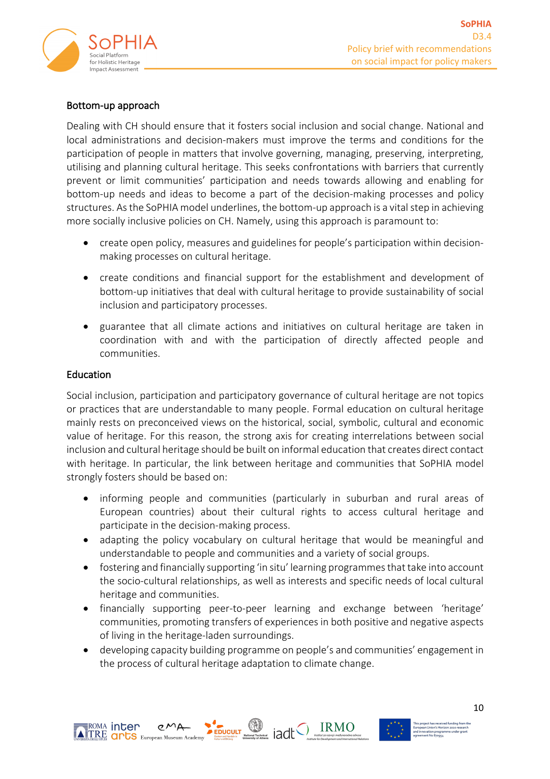

#### Bottom-up approach

Dealing with CH should ensure that it fosters social inclusion and social change. National and local administrations and decision-makers must improve the terms and conditions for the participation of people in matters that involve governing, managing, preserving, interpreting, utilising and planning cultural heritage. This seeks confrontations with barriers that currently prevent or limit communities' participation and needs towards allowing and enabling for bottom-up needs and ideas to become a part of the decision-making processes and policy structures. As the SoPHIA model underlines, the bottom-up approach is a vital step in achieving more socially inclusive policies on CH. Namely, using this approach is paramount to:

- create open policy, measures and guidelines for people's participation within decisionmaking processes on cultural heritage.
- create conditions and financial support for the establishment and development of bottom-up initiatives that deal with cultural heritage to provide sustainability of social inclusion and participatory processes.
- guarantee that all climate actions and initiatives on cultural heritage are taken in coordination with and with the participation of directly affected people and communities.

#### Education

Social inclusion, participation and participatory governance of cultural heritage are not topics or practices that are understandable to many people. Formal education on cultural heritage mainly rests on preconceived views on the historical, social, symbolic, cultural and economic value of heritage. For this reason, the strong axis for creating interrelations between social inclusion and cultural heritage should be built on informal education that creates direct contact with heritage. In particular, the link between heritage and communities that SoPHIA model strongly fosters should be based on:

- informing people and communities (particularly in suburban and rural areas of European countries) about their cultural rights to access cultural heritage and participate in the decision-making process.
- adapting the policy vocabulary on cultural heritage that would be meaningful and understandable to people and communities and a variety of social groups.
- fostering and financially supporting 'in situ' learning programmes that take into account the socio-cultural relationships, as well as interests and specific needs of local cultural heritage and communities.
- financially supporting peer-to-peer learning and exchange between 'heritage' communities, promoting transfers of experiences in both positive and negative aspects of living in the heritage-laden surroundings.
- developing capacity building programme on people's and communities' engagement in the process of cultural heritage adaptation to climate change.

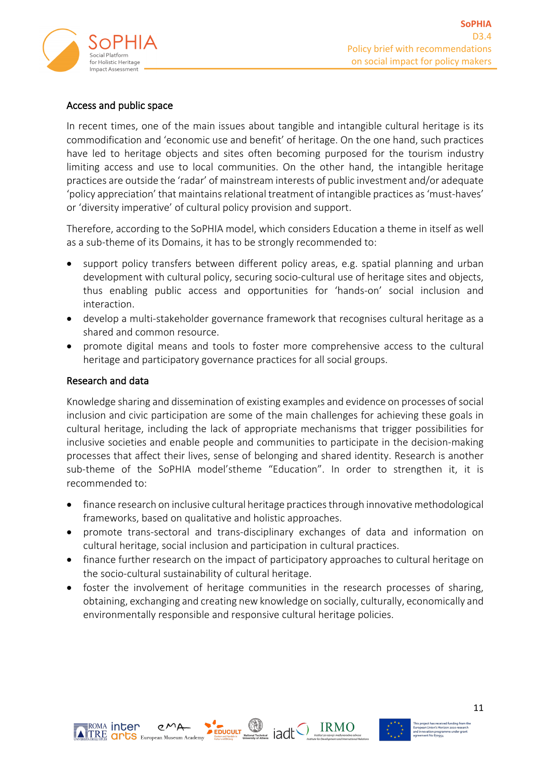

#### Access and public space

In recent times, one of the main issues about tangible and intangible cultural heritage is its commodification and 'economic use and benefit' of heritage. On the one hand, such practices have led to heritage objects and sites often becoming purposed for the tourism industry limiting access and use to local communities. On the other hand, the intangible heritage practices are outside the 'radar' of mainstream interests of public investment and/or adequate 'policy appreciation' that maintains relational treatment of intangible practices as 'must-haves' or 'diversity imperative' of cultural policy provision and support.

Therefore, according to the SoPHIA model, which considers Education a theme in itself as well as a sub-theme of its Domains, it has to be strongly recommended to:

- support policy transfers between different policy areas, e.g. spatial planning and urban development with cultural policy, securing socio-cultural use of heritage sites and objects, thus enabling public access and opportunities for 'hands-on' social inclusion and interaction.
- develop a multi-stakeholder governance framework that recognises cultural heritage as a shared and common resource.
- promote digital means and tools to foster more comprehensive access to the cultural heritage and participatory governance practices for all social groups.

#### Research and data

Knowledge sharing and dissemination of existing examples and evidence on processes of social inclusion and civic participation are some of the main challenges for achieving these goals in cultural heritage, including the lack of appropriate mechanisms that trigger possibilities for inclusive societies and enable people and communities to participate in the decision-making processes that affect their lives, sense of belonging and shared identity. Research is another sub-theme of the SoPHIA model'stheme "Education". In order to strengthen it, it is recommended to:

- finance research on inclusive cultural heritage practices through innovative methodological frameworks, based on qualitative and holistic approaches.
- promote trans-sectoral and trans-disciplinary exchanges of data and information on cultural heritage, social inclusion and participation in cultural practices.
- finance further research on the impact of participatory approaches to cultural heritage on the socio-cultural sustainability of cultural heritage.
- foster the involvement of heritage communities in the research processes of sharing, obtaining, exchanging and creating new knowledge on socially, culturally, economically and environmentally responsible and responsive cultural heritage policies.





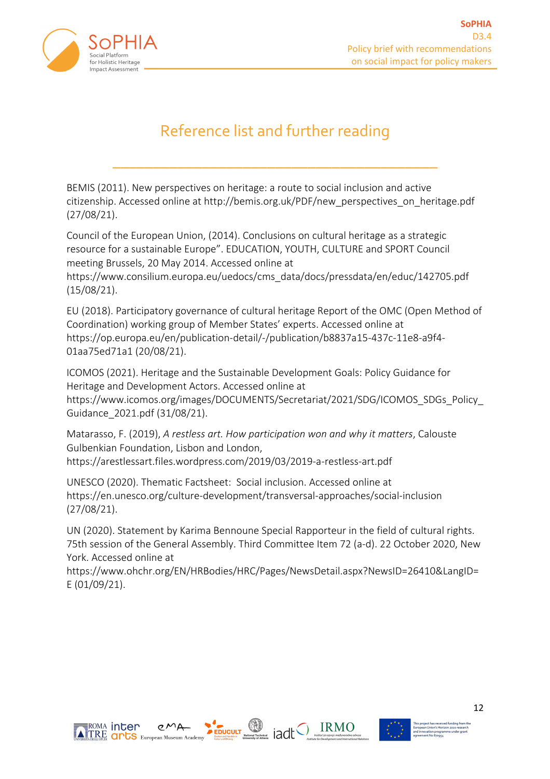

# Reference list and further reading

\_\_\_\_\_\_\_\_\_\_\_\_\_\_\_\_\_\_\_\_\_\_\_\_\_\_\_\_\_\_\_\_\_\_\_\_\_\_\_\_

BEMIS (2011). New perspectives on heritage: a route to social inclusion and active citizenship. Accessed online at http://bemis.org.uk/PDF/new\_perspectives\_on\_heritage.pdf (27/08/21).

Council of the European Union, (2014). Conclusions on cultural heritage as a strategic resource for a sustainable Europe". EDUCATION, YOUTH, CULTURE and SPORT Council meeting Brussels, 20 May 2014. Accessed online at

https://www.consilium.europa.eu/uedocs/cms\_data/docs/pressdata/en/educ/142705.pdf (15/08/21).

EU (2018). Participatory governance of cultural heritage Report of the OMC (Open Method of Coordination) working group of Member States' experts. Accessed online at https://op.europa.eu/en/publication-detail/-/publication/b8837a15-437c-11e8-a9f4- 01aa75ed71a1 (20/08/21).

ICOMOS (2021). Heritage and the Sustainable Development Goals: Policy Guidance for Heritage and Development Actors. Accessed online at

https://www.icomos.org/images/DOCUMENTS/Secretariat/2021/SDG/ICOMOS\_SDGs\_Policy\_ Guidance\_2021.pdf (31/08/21).

Matarasso, F. (2019), *A restless art. How participation won and why it matters*, Calouste Gulbenkian Foundation, Lisbon and London, https://arestlessart.files.wordpress.com/2019/03/2019-a-restless-art.pdf

UNESCO (2020). Thematic Factsheet: Social inclusion. Accessed online at https://en.unesco.org/culture-development/transversal-approaches/social-inclusion (27/08/21).

UN (2020). Statement by Karima Bennoune Special Rapporteur in the field of cultural rights. 75th session of the General Assembly. Third Committee Item 72 (a-d). 22 October 2020, New York. Accessed online at

https://www.ohchr.org/EN/HRBodies/HRC/Pages/NewsDetail.aspx?NewsID=26410&LangID= E (01/09/21).





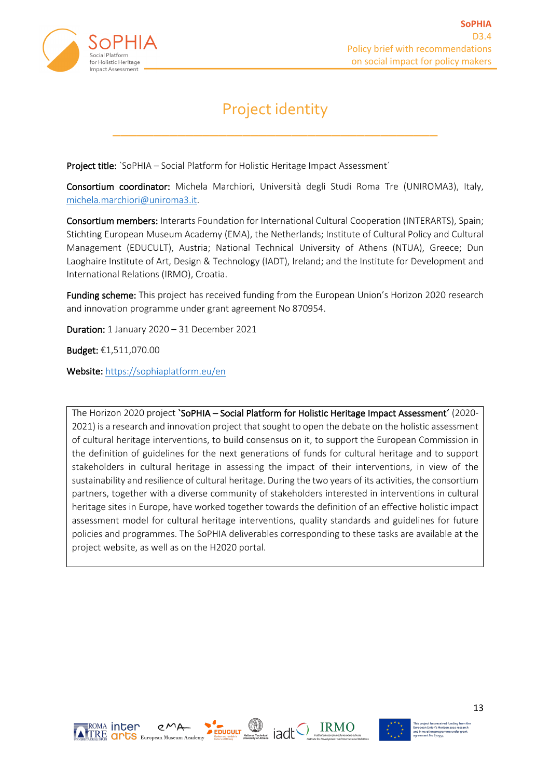

## Project identity

\_\_\_\_\_\_\_\_\_\_\_\_\_\_\_\_\_\_\_\_\_\_\_\_\_\_\_\_\_\_\_\_\_\_\_\_\_\_\_\_

Project title: `SoPHIA – Social Platform for Holistic Heritage Impact Assessment´

Consortium coordinator: Michela Marchiori, Università degli Studi Roma Tre (UNIROMA3), Italy, michela.marchiori@uniroma3.it.

Consortium members: Interarts Foundation for International Cultural Cooperation (INTERARTS), Spain; Stichting European Museum Academy (EMA), the Netherlands; Institute of Cultural Policy and Cultural Management (EDUCULT), Austria; National Technical University of Athens (NTUA), Greece; Dun Laoghaire Institute of Art, Design & Technology (IADT), Ireland; and the Institute for Development and International Relations (IRMO), Croatia.

Funding scheme: This project has received funding from the European Union's Horizon 2020 research and innovation programme under grant agreement No 870954.

Duration: 1 January 2020 – 31 December 2021

Budget: €1,511,070.00

Website: https://sophiaplatform.eu/en

The Horizon 2020 project 'SoPHIA – Social Platform for Holistic Heritage Impact Assessment' (2020-2021) is a research and innovation project that sought to open the debate on the holistic assessment of cultural heritage interventions, to build consensus on it, to support the European Commission in the definition of guidelines for the next generations of funds for cultural heritage and to support stakeholders in cultural heritage in assessing the impact of their interventions, in view of the sustainability and resilience of cultural heritage. During the two years of its activities, the consortium partners, together with a diverse community of stakeholders interested in interventions in cultural heritage sites in Europe, have worked together towards the definition of an effective holistic impact assessment model for cultural heritage interventions, quality standards and guidelines for future policies and programmes. The SoPHIA deliverables corresponding to these tasks are available at the project website, as well as on the H2020 portal.